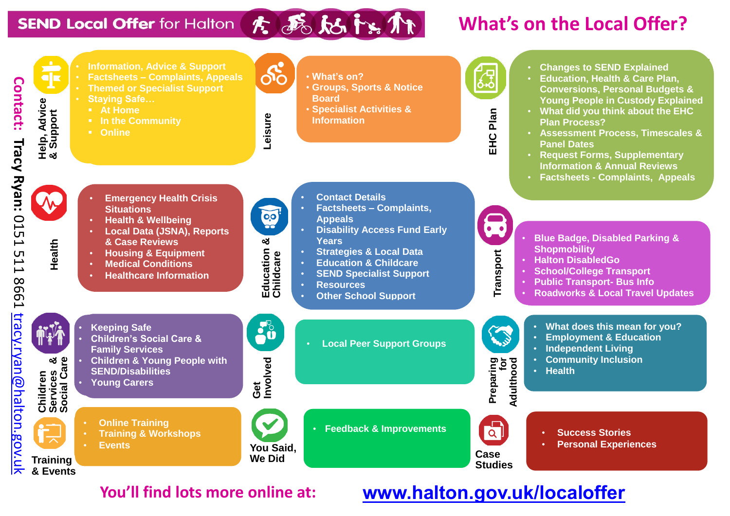#### **SEND Local Offer for Halton**

**Contact: Tracy Ryan:**

**Tracy Ryan: 0151 511** 

Contact:

0151 511 8661

E998

[tracy.ryan@halton.gov.uk](mailto:tracy.ryan@halton.gov.uk)

tracy.ryan@halton.gov.uk

## 大病的防御

### **What's on the Local Offer?**



#### **You'll find lots more online at: [www.halton.gov.uk/localoffer](http://www.halton.gov.uk/localoffer)**